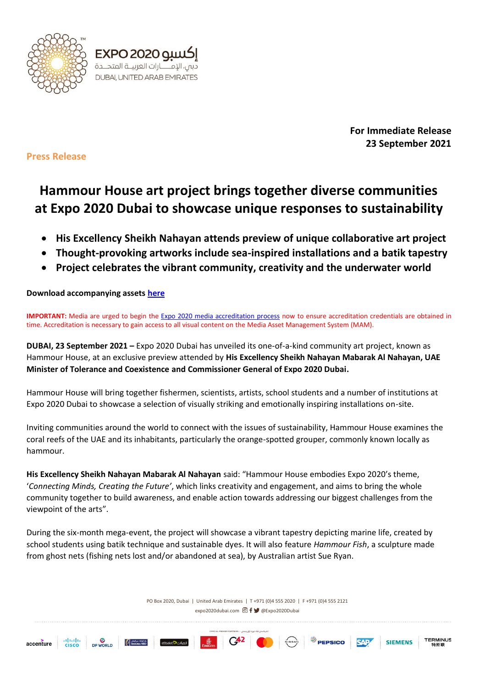



**For Immediate Release 23 September 2021**

**Press Release**

# **Hammour House art project brings together diverse communities at Expo 2020 Dubai to showcase unique responses to sustainability**

- **His Excellency Sheikh Nahayan attends preview of unique collaborative art project**
- **Thought-provoking artworks include sea-inspired installations and a batik tapestry**
- **Project celebrates the vibrant community, creativity and the underwater world**

## **Download accompanying asset[s here](https://expo2020dubai.sharefile.com/share/view/se3c72472ae8948c8a9af3b333200b9e6)**

**IMPORTANT:** Media are urged to begin the [Expo 2020 media accreditation process](https://media.expo2020dubai.com/en/media-centre/expression-of-interest) now to ensure accreditation credentials are obtained in time. Accreditation is necessary to gain access to all visual content on the Media Asset Management System (MAM).

**DUBAI, 23 September 2021 –** Expo 2020 Dubai has unveiled its one-of-a-kind community art project, known as Hammour House, at an exclusive preview attended by **His Excellency Sheikh Nahayan Mabarak Al Nahayan, UAE Minister of Tolerance and Coexistence and Commissioner General of Expo 2020 Dubai.**

Hammour House will bring together fishermen, scientists, artists, school students and a number of institutions at Expo 2020 Dubai to showcase a selection of visually striking and emotionally inspiring installations on-site.

Inviting communities around the world to connect with the issues of sustainability, Hammour House examines the coral reefs of the UAE and its inhabitants, particularly the orange-spotted grouper, commonly known locally as hammour.

**His Excellency Sheikh Nahayan Mabarak Al Nahayan** said: "Hammour House embodies Expo 2020's theme, '*Connecting Minds, Creating the Future'*, which links creativity and engagement, and aims to bring the whole community together to build awareness, and enable action towards addressing our biggest challenges from the viewpoint of the arts".

During the six-month mega-event, the project will showcase a vibrant tapestry depicting marine life, created by school students using batik technique and sustainable dyes. It will also feature *Hammour Fish*, a sculpture made from ghost nets (fishing nets lost and/or abandoned at sea), by Australian artist Sue Ryan.

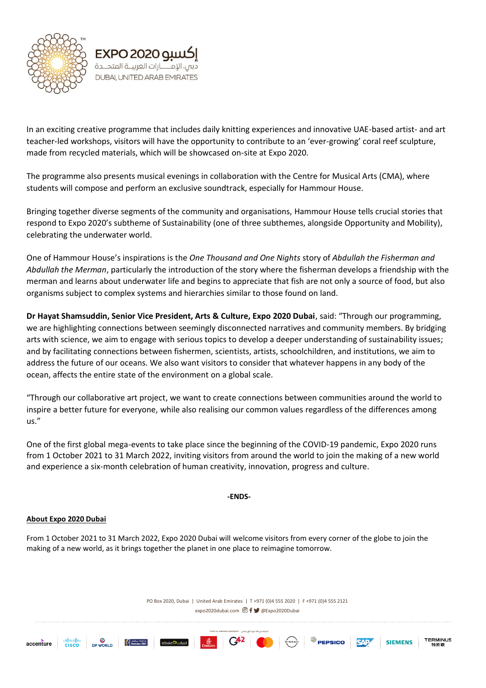



In an exciting creative programme that includes daily knitting experiences and innovative UAE-based artist- and art teacher-led workshops, visitors will have the opportunity to contribute to an 'ever-growing' coral reef sculpture, made from recycled materials, which will be showcased on-site at Expo 2020.

The programme also presents musical evenings in collaboration with the Centre for Musical Arts (CMA), where students will compose and perform an exclusive soundtrack, especially for Hammour House.

Bringing together diverse segments of the community and organisations, Hammour House tells crucial stories that respond to Expo 2020's subtheme of Sustainability (one of three subthemes, alongside Opportunity and Mobility), celebrating the underwater world.

One of Hammour House's inspirations is the *One Thousand and One Nights* story of *Abdullah the Fisherman and Abdullah the Merman*, particularly the introduction of the story where the fisherman develops a friendship with the merman and learns about underwater life and begins to appreciate that fish are not only a source of food, but also organisms subject to complex systems and hierarchies similar to those found on land.

**Dr Hayat Shamsuddin, Senior Vice President, Arts & Culture, Expo 2020 Dubai**, said: "Through our programming, we are highlighting connections between seemingly disconnected narratives and community members. By bridging arts with science, we aim to engage with serious topics to develop a deeper understanding of sustainability issues; and by facilitating connections between fishermen, scientists, artists, schoolchildren, and institutions, we aim to address the future of our oceans. We also want visitors to consider that whatever happens in any body of the ocean, affects the entire state of the environment on a global scale.

"Through our collaborative art project, we want to create connections between communities around the world to inspire a better future for everyone, while also realising our common values regardless of the differences among us."

One of the first global mega-events to take place since the beginning of the COVID-19 pandemic, Expo 2020 runs from 1 October 2021 to 31 March 2022, inviting visitors from around the world to join the making of a new world and experience a six-month celebration of human creativity, innovation, progress and culture.

**-ENDS-**

## **About Expo 2020 Dubai**

From 1 October 2021 to 31 March 2022, Expo 2020 Dubai will welcome visitors from every corner of the globe to join the making of a new world, as it brings together the planet in one place to reimagine tomorrow.

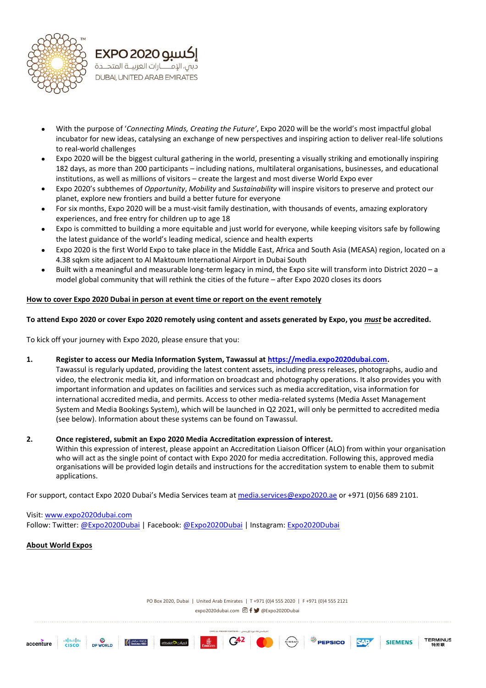



- With the purpose of '*Connecting Minds, Creating the Future'*, Expo 2020 will be the world's most impactful global incubator for new ideas, catalysing an exchange of new perspectives and inspiring action to deliver real-life solutions to real-world challenges
- Expo 2020 will be the biggest cultural gathering in the world, presenting a visually striking and emotionally inspiring 182 days, as more than 200 participants – including nations, multilateral organisations, businesses, and educational institutions, as well as millions of visitors – create the largest and most diverse World Expo ever
- Expo 2020's subthemes of *Opportunity*, *Mobility* and *Sustainability* will inspire visitors to preserve and protect our planet, explore new frontiers and build a better future for everyone
- For six months, Expo 2020 will be a must-visit family destination, with thousands of events, amazing exploratory experiences, and free entry for children up to age 18
- Expo is committed to building a more equitable and just world for everyone, while keeping visitors safe by following the latest guidance of the world's leading medical, science and health experts
- Expo 2020 is the first World Expo to take place in the Middle East, Africa and South Asia (MEASA) region, located on a 4.38 sqkm site adjacent to Al Maktoum International Airport in Dubai South
- Built with a meaningful and measurable long-term legacy in mind, the Expo site will transform into District 2020 a model global community that will rethink the cities of the future – after Expo 2020 closes its doors

#### **How to cover Expo 2020 Dubai in person at event time or report on the event remotely**

#### **To attend Expo 2020 or cover Expo 2020 remotely using content and assets generated by Expo, you** *must* **be accredited.**

To kick off your journey with Expo 2020, please ensure that you:

#### **1. Register to access our Media Information System, Tawassul a[t https://media.expo2020dubai.com.](https://media.expo2020dubai.com/)**

Tawassul is regularly updated, providing the latest content assets, including press releases, photographs, audio and video, the electronic media kit, and information on broadcast and photography operations. It also provides you with important information and updates on facilities and services such as media accreditation, visa information for international accredited media, and permits. Access to other media-related systems (Media Asset Management System and Media Bookings System), which will be launched in Q2 2021, will only be permitted to accredited media (see below). Information about these systems can be found on Tawassul.

#### **2. Once registered, submit an Expo 2020 Media Accreditation expression of interest.**

Within this expression of interest, please appoint an Accreditation Liaison Officer (ALO) from within your organisation who will act as the single point of contact with Expo 2020 for media accreditation. Following this, approved media organisations will be provided login details and instructions for the accreditation system to enable them to submit applications.

For support, contact Expo 2020 Dubai's Media Services team at [media.services@expo2020.ae](mailto:media.services@expo2020.ae) or +971 (0)56 689 2101.

## Visit: [www.expo2020dubai.com](http://www.expo2020dubai.com/) Follow: Twitter[: @Expo2020Dubai](https://twitter.com/expo2020dubai) | Facebook: [@Expo2020Dubai](https://www.facebook.com/Expo2020Dubai) | Instagram: [Expo2020Dubai](http://instagram.com/expo2020dubai)

#### **About World Expos**